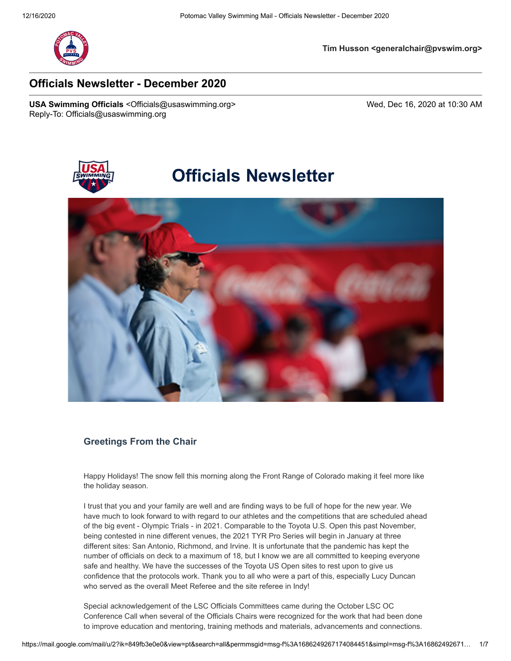

**Tim Husson <generalchair@pvswim.org>**

# **Officials Newsletter - December 2020**

USA Swimming Officials <Officials@usaswimming.org> Wed, Dec 16, 2020 at 10:30 AM Reply-To: Officials@usaswimming.org



# **Officials Newsletter**



### **Greetings From the Chair**

Happy Holidays! The snow fell this morning along the Front Range of Colorado making it feel more like the holiday season.

I trust that you and your family are well and are finding ways to be full of hope for the new year. We have much to look forward to with regard to our athletes and the competitions that are scheduled ahead of the big event - Olympic Trials - in 2021. Comparable to the Toyota U.S. Open this past November, being contested in nine different venues, the 2021 TYR Pro Series will begin in January at three different sites: San Antonio, Richmond, and Irvine. It is unfortunate that the pandemic has kept the number of officials on deck to a maximum of 18, but I know we are all committed to keeping everyone safe and healthy. We have the successes of the Toyota US Open sites to rest upon to give us confidence that the protocols work. Thank you to all who were a part of this, especially Lucy Duncan who served as the overall Meet Referee and the site referee in Indy!

Special acknowledgement of the LSC Officials Committees came during the October LSC OC Conference Call when several of the Officials Chairs were recognized for the work that had been done to improve education and mentoring, training methods and materials, advancements and connections.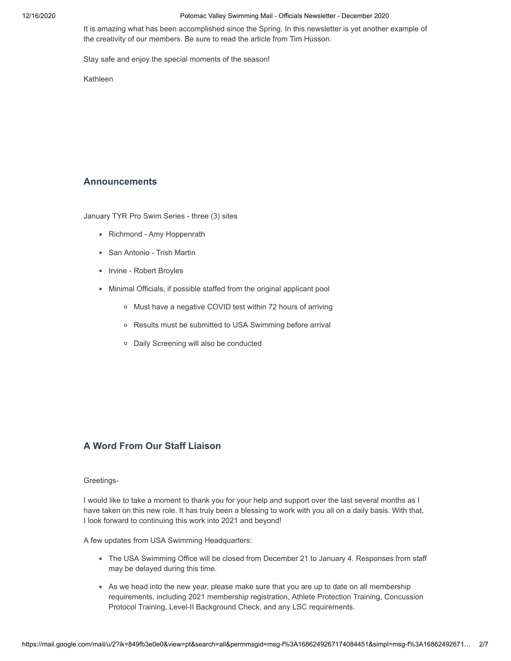It is amazing what has been accomplished since the Spring. In this newsletter is yet another example of the creativity of our members. Be sure to read the article from Tim Husson.

Stay safe and enjoy the special moments of the season!

Kathleen

### **Announcements**

January TYR Pro Swim Series - three (3) sites

- Richmond Amy Hoppenrath
- San Antonio Trish Martin
- Irvine Robert Broyles
- Minimal Officials, if possible staffed from the original applicant pool
	- Must have a negative COVID test within 72 hours of arriving
	- Results must be submitted to USA Swimming before arrival
	- Daily Screening will also be conducted

# **A Word From Our Staff Liaison**

#### Greetings-

I would like to take a moment to thank you for your help and support over the last several months as I have taken on this new role. It has truly been a blessing to work with you all on a daily basis. With that, I look forward to continuing this work into 2021 and beyond!

A few updates from USA Swimming Headquarters:

- The USA Swimming Office will be closed from December 21 to January 4. Responses from staff may be delayed during this time.
- As we head into the new year, please make sure that you are up to date on all membership requirements, including 2021 membership registration, Athlete Protection Training, Concussion Protocol Training, Level-II Background Check, and any LSC requirements.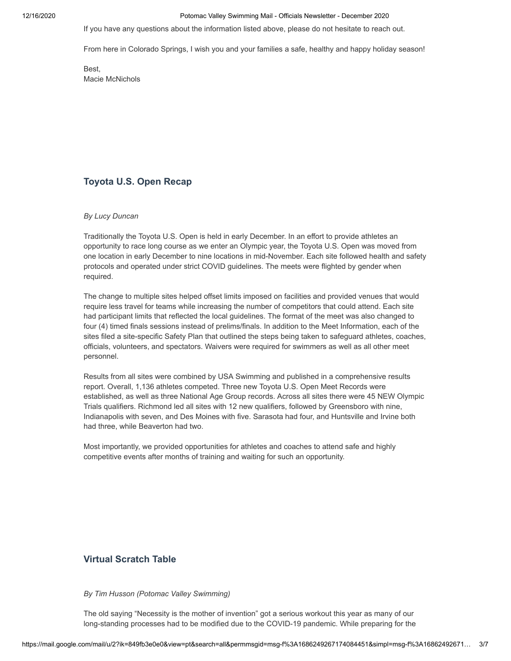If you have any questions about the information listed above, please do not hesitate to reach out.

From here in Colorado Springs, I wish you and your families a safe, healthy and happy holiday season!

Best, Macie McNichols

# **Toyota U.S. Open Recap**

### *By Lucy Duncan*

Traditionally the Toyota U.S. Open is held in early December. In an effort to provide athletes an opportunity to race long course as we enter an Olympic year, the Toyota U.S. Open was moved from one location in early December to nine locations in mid-November. Each site followed health and safety protocols and operated under strict COVID guidelines. The meets were flighted by gender when required.

The change to multiple sites helped offset limits imposed on facilities and provided venues that would require less travel for teams while increasing the number of competitors that could attend. Each site had participant limits that reflected the local guidelines. The format of the meet was also changed to four (4) timed finals sessions instead of prelims/finals. In addition to the Meet Information, each of the sites filed a site-specific Safety Plan that outlined the steps being taken to safeguard athletes, coaches, officials, volunteers, and spectators. Waivers were required for swimmers as well as all other meet personnel.

Results from all sites were combined by USA Swimming and published in a comprehensive results report. Overall, 1,136 athletes competed. Three new Toyota U.S. Open Meet Records were established, as well as three National Age Group records. Across all sites there were 45 NEW Olympic Trials qualifiers. Richmond led all sites with 12 new qualifiers, followed by Greensboro with nine, Indianapolis with seven, and Des Moines with five. Sarasota had four, and Huntsville and Irvine both had three, while Beaverton had two.

Most importantly, we provided opportunities for athletes and coaches to attend safe and highly competitive events after months of training and waiting for such an opportunity.

### **Virtual Scratch Table**

#### *By Tim Husson (Potomac Valley Swimming)*

The old saying "Necessity is the mother of invention" got a serious workout this year as many of our long-standing processes had to be modified due to the COVID-19 pandemic. While preparing for the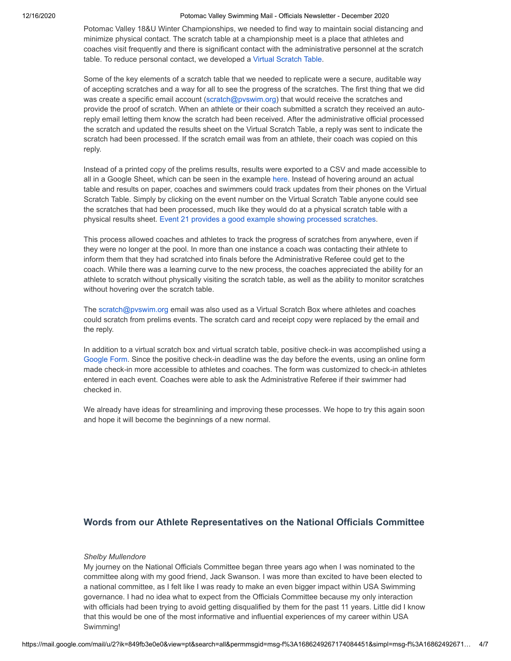Potomac Valley 18&U Winter Championships, we needed to find way to maintain social distancing and minimize physical contact. The scratch table at a championship meet is a place that athletes and coaches visit frequently and there is significant contact with the administrative personnel at the scratch table. To reduce personal contact, we developed a [Virtual Scratch Table.](http://pages.usaswimming.org/kK0dr0w00yt00CZ1Q20Y40Z)

Some of the key elements of a scratch table that we needed to replicate were a secure, auditable way of accepting scratches and a way for all to see the progress of the scratches. The first thing that we did was create a specific email account [\(scratch@pvswim.org\)](http://pages.usaswimming.org/r40Z0Z0y0CerQwK2t0010Z0) that would receive the scratches and provide the proof of scratch. When an athlete or their coach submitted a scratch they received an autoreply email letting them know the scratch had been received. After the administrative official processed the scratch and updated the results sheet on the Virtual Scratch Table, a reply was sent to indicate the scratch had been processed. If the scratch email was from an athlete, their coach was copied on this reply.

Instead of a printed copy of the prelims results, results were exported to a CSV and made accessible to all in a Google Sheet, which can be seen in the example [here.](http://pages.usaswimming.org/p0400K02gZ0100wCZr0tQz0) Instead of hovering around an actual table and results on paper, coaches and swimmers could track updates from their phones on the Virtual Scratch Table. Simply by clicking on the event number on the Virtual Scratch Table anyone could see the scratches that had been processed, much like they would do at a physical scratch table with a physical results sheet. [Event 21 provides a good example showing processed scratches](http://pages.usaswimming.org/Q0zZ0QC0K10r10w2Z00h4t0).

This process allowed coaches and athletes to track the progress of scratches from anywhere, even if they were no longer at the pool. In more than one instance a coach was contacting their athlete to inform them that they had scratched into finals before the Administrative Referee could get to the coach. While there was a learning curve to the new process, the coaches appreciated the ability for an athlete to scratch without physically visiting the scratch table, as well as the ability to monitor scratches without hovering over the scratch table.

The [scratch@pvswim.org](http://pages.usaswimming.org/r40Z0Z0y0CerQwK2t0010Z0) email was also used as a Virtual Scratch Box where athletes and coaches could scratch from prelims events. The scratch card and receipt copy were replaced by the email and the reply.

In addition to a virtual scratch box and virtual scratch table, positive check-in was accomplished using a [Google Form.](http://pages.usaswimming.org/Mw0Z010QKz42Z00ir0tC020) Since the positive check-in deadline was the day before the events, using an online form made check-in more accessible to athletes and coaches. The form was customized to check-in athletes entered in each event. Coaches were able to ask the Administrative Referee if their swimmer had checked in.

We already have ideas for streamlining and improving these processes. We hope to try this again soon and hope it will become the beginnings of a new normal.

### **Words from our Athlete Representatives on the National Officials Committee**

#### *Shelby Mullendore*

My journey on the National Officials Committee began three years ago when I was nominated to the committee along with my good friend, Jack Swanson. I was more than excited to have been elected to a national committee, as I felt like I was ready to make an even bigger impact within USA Swimming governance. I had no idea what to expect from the Officials Committee because my only interaction with officials had been trying to avoid getting disqualified by them for the past 11 years. Little did I know that this would be one of the most informative and influential experiences of my career within USA Swimming!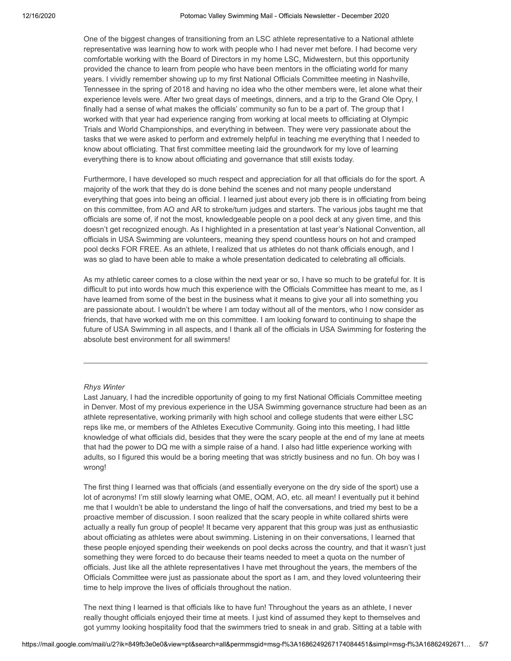One of the biggest changes of transitioning from an LSC athlete representative to a National athlete representative was learning how to work with people who I had never met before. I had become very comfortable working with the Board of Directors in my home LSC, Midwestern, but this opportunity provided the chance to learn from people who have been mentors in the officiating world for many years. I vividly remember showing up to my first National Officials Committee meeting in Nashville, Tennessee in the spring of 2018 and having no idea who the other members were, let alone what their experience levels were. After two great days of meetings, dinners, and a trip to the Grand Ole Opry, I finally had a sense of what makes the officials' community so fun to be a part of. The group that I worked with that year had experience ranging from working at local meets to officiating at Olympic Trials and World Championships, and everything in between. They were very passionate about the tasks that we were asked to perform and extremely helpful in teaching me everything that I needed to know about officiating. That first committee meeting laid the groundwork for my love of learning everything there is to know about officiating and governance that still exists today.

Furthermore, I have developed so much respect and appreciation for all that officials do for the sport. A majority of the work that they do is done behind the scenes and not many people understand everything that goes into being an official. I learned just about every job there is in officiating from being on this committee, from AO and AR to stroke/turn judges and starters. The various jobs taught me that officials are some of, if not the most, knowledgeable people on a pool deck at any given time, and this doesn't get recognized enough. As I highlighted in a presentation at last year's National Convention, all officials in USA Swimming are volunteers, meaning they spend countless hours on hot and cramped pool decks FOR FREE. As an athlete, I realized that us athletes do not thank officials enough, and I was so glad to have been able to make a whole presentation dedicated to celebrating all officials.

As my athletic career comes to a close within the next year or so, I have so much to be grateful for. It is difficult to put into words how much this experience with the Officials Committee has meant to me, as I have learned from some of the best in the business what it means to give your all into something you are passionate about. I wouldn't be where I am today without all of the mentors, who I now consider as friends, that have worked with me on this committee. I am looking forward to continuing to shape the future of USA Swimming in all aspects, and I thank all of the officials in USA Swimming for fostering the absolute best environment for all swimmers!

#### *Rhys Winter*

Last January, I had the incredible opportunity of going to my first National Officials Committee meeting in Denver. Most of my previous experience in the USA Swimming governance structure had been as an athlete representative, working primarily with high school and college students that were either LSC reps like me, or members of the Athletes Executive Community. Going into this meeting, I had little knowledge of what officials did, besides that they were the scary people at the end of my lane at meets that had the power to DQ me with a simple raise of a hand. I also had little experience working with adults, so I figured this would be a boring meeting that was strictly business and no fun. Oh boy was I wrong!

The first thing I learned was that officials (and essentially everyone on the dry side of the sport) use a lot of acronyms! I'm still slowly learning what OME, OQM, AO, etc. all mean! I eventually put it behind me that I wouldn't be able to understand the lingo of half the conversations, and tried my best to be a proactive member of discussion. I soon realized that the scary people in white collared shirts were actually a really fun group of people! It became very apparent that this group was just as enthusiastic about officiating as athletes were about swimming. Listening in on their conversations, I learned that these people enjoyed spending their weekends on pool decks across the country, and that it wasn't just something they were forced to do because their teams needed to meet a quota on the number of officials. Just like all the athlete representatives I have met throughout the years, the members of the Officials Committee were just as passionate about the sport as I am, and they loved volunteering their time to help improve the lives of officials throughout the nation.

The next thing I learned is that officials like to have fun! Throughout the years as an athlete, I never really thought officials enjoyed their time at meets. I just kind of assumed they kept to themselves and got yummy looking hospitality food that the swimmers tried to sneak in and grab. Sitting at a table with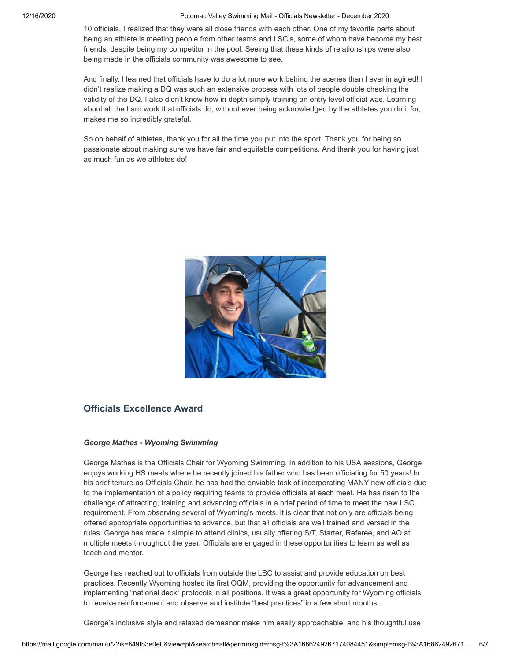10 officials, I realized that they were all close friends with each other. One of my favorite parts about being an athlete is meeting people from other teams and LSC's, some of whom have become my best friends, despite being my competitor in the pool. Seeing that these kinds of relationships were also being made in the officials community was awesome to see.

And finally, I learned that officials have to do a lot more work behind the scenes than I ever imagined! I didn't realize making a DQ was such an extensive process with lots of people double checking the validity of the DQ. I also didn't know how in depth simply training an entry level official was. Learning about all the hard work that officials do, without ever being acknowledged by the athletes you do it for, makes me so incredibly grateful.

So on behalf of athletes, thank you for all the time you put into the sport. Thank you for being so passionate about making sure we have fair and equitable competitions. And thank you for having just as much fun as we athletes do!



# **Officials Excellence Award**

### *George Mathes - Wyoming Swimming*

George Mathes is the Officials Chair for Wyoming Swimming. In addition to his USA sessions, George enjoys working HS meets where he recently joined his father who has been officiating for 50 years! In his brief tenure as Officials Chair, he has had the enviable task of incorporating MANY new officials due to the implementation of a policy requiring teams to provide officials at each meet. He has risen to the challenge of attracting, training and advancing officials in a brief period of time to meet the new LSC requirement. From observing several of Wyoming's meets, it is clear that not only are officials being offered appropriate opportunities to advance, but that all officials are well trained and versed in the rules. George has made it simple to attend clinics, usually offering S/T, Starter, Referee, and AO at multiple meets throughout the year. Officials are engaged in these opportunities to learn as well as teach and mentor.

George has reached out to officials from outside the LSC to assist and provide education on best practices. Recently Wyoming hosted its first OQM, providing the opportunity for advancement and implementing "national deck" protocols in all positions. It was a great opportunity for Wyoming officials to receive reinforcement and observe and institute "best practices" in a few short months.

George's inclusive style and relaxed demeanor make him easily approachable, and his thoughtful use